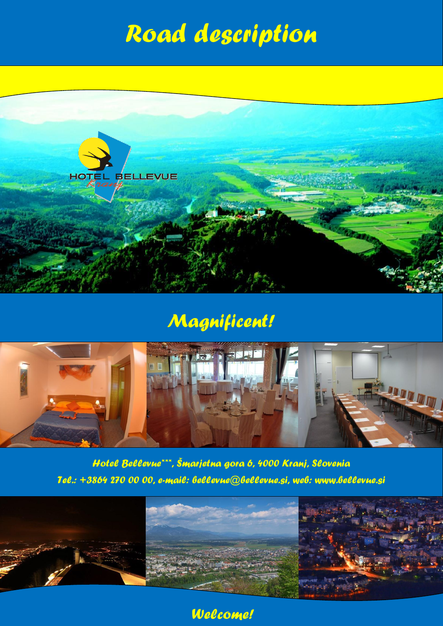## *Road description*



## *Magnificent!*



*Hotel Bellevue\*\*\*, Šmarjetna gora 6, 4000 Kranj, Slovenia Tel.: +3864 270 00 00, e-mail: bellevue@bellevue.si, web: www.bellevue.si*



*Welcome!*